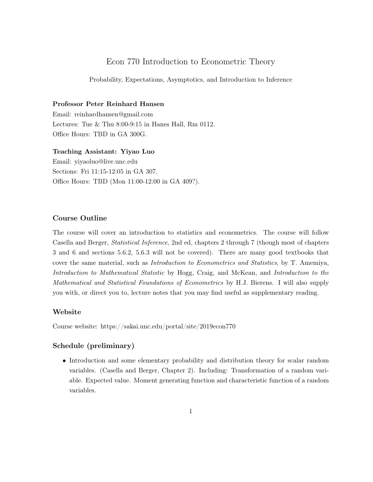# Econ 770 Introduction to Econometric Theory

Probability, Expectations, Asymptotics, and Introduction to Inference

#### Professor Peter Reinhard Hansen

Email: reinhardhansen@gmail.com Lectures: Tue & Thu 8:00-9:15 in Hanes Hall, Rm 0112. Office Hours: TBD in GA 300G.

Teaching Assistant: Yiyao Luo

Email: yiyaoluo@live.unc.edu Sections: Fri 11:15-12:05 in GA 307. Office Hours: TBD (Mon 11:00-12:00 in GA 409?).

#### Course Outline

The course will cover an introduction to statistics and econometrics. The course will follow Casella and Berger, Statistical Inference, 2nd ed, chapters 2 through 7 (though most of chapters 3 and 6 and sections 5.6.2, 5.6.3 will not be covered). There are many good textbooks that cover the same material, such as Introduction to Econometrics and Statistics, by T. Amemiya, Introduction to Mathematical Statistic by Hogg, Craig, and McKean, and Introduction to the Mathematical and Statistical Foundations of Econometrics by H.J. Bierens. I will also supply you with, or direct you to, lecture notes that you may find useful as supplementary reading.

## Website

Course website: https://sakai.unc.edu/portal/site/2019econ770

## Schedule (preliminary)

• Introduction and some elementary probability and distribution theory for scalar random variables. (Casella and Berger, Chapter 2). Including: Transformation of a random variable. Expected value. Moment generating function and characteristic function of a random variables.